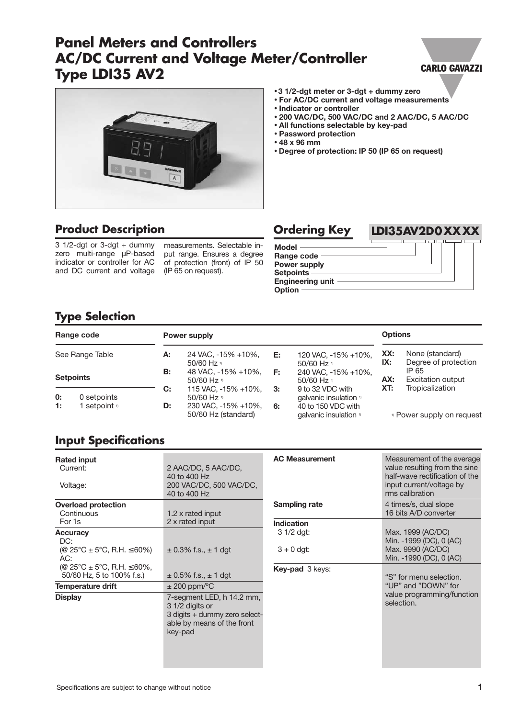# **Panel Meters and Controllers AC/DC Current and Voltage Meter/Controller Type LDI35 AV2**

### **CARLO GAVAZZI**



## **Product Description**

 $\frac{1}{2}$  1/2-dgt or 3-dgt + dummy zero multi-range µP-based indicator or controller for AC and DC current and voltage

measurements. Selectable input range. Ensures a degree of protection (front) of IP 50 (IP 65 on request).

#### • **3 1/2-dgt meter or 3-dgt + dummy zero**

- **For AC/DC current and voltage measurements**
- **Indicator or controller**
- **200 VAC/DC, 500 VAC/DC and 2 AAC/DC, 5 AAC/DC**
- **All functions selectable by key-pad**
- **Password protection**
- **48 x 96 mm**
- **Degree of protection: IP 50 (IP 65 on request)**



# **Type Selection**

|    | Range code              |           | Power supply                                 |    |                                                         | <b>Options</b> |                                         |
|----|-------------------------|-----------|----------------------------------------------|----|---------------------------------------------------------|----------------|-----------------------------------------|
|    | See Range Table         | А:        | 24 VAC, -15% +10%,<br>50/60 Hz <sup>11</sup> | E: | 120 VAC, -15% +10%,<br>50/60 Hz $\frac{1}{2}$           | XX:<br>IX:     | None (standard)<br>Degree of protection |
|    | <b>Setpoints</b>        | <b>B:</b> | 48 VAC, -15% +10%,<br>50/60 Hz <sup>11</sup> | E: | 240 VAC, -15% +10%,<br>50/60 Hz <sup>11</sup>           | AX:            | IP 65<br><b>Excitation output</b>       |
| 0: | 0 setpoints             | C:        | 115 VAC, -15% +10%,<br>50/60 Hz $v$          | 3: | 9 to 32 VDC with<br>qalvanic insulation <sup>11</sup>   | XT:            | Tropicalization                         |
| 1: | l setpoint <sup>1</sup> | D:        | 230 VAC, -15% +10%,<br>50/60 Hz (standard)   | 6: | 40 to 150 VDC with<br>qalvanic insulation <sup>11</sup> |                | <sup>1)</sup> Power supply on request   |

## **Input Specifications**

| <b>Rated input</b><br>Current:<br>Voltage:                                                                                    | 2 AAC/DC, 5 AAC/DC,<br>40 to 400 Hz<br>200 VAC/DC, 500 VAC/DC,<br>40 to 400 Hz                                         |
|-------------------------------------------------------------------------------------------------------------------------------|------------------------------------------------------------------------------------------------------------------------|
| <b>Overload protection</b><br>Continuous<br>For 1s                                                                            | 1.2 x rated input<br>2 x rated input                                                                                   |
| <b>Accuracy</b><br>DC:<br>(@ 25°C ± 5°C, R.H. $\leq 60\%$ )<br>AC:<br>(@ 25°C ± 5°C, R.H. ≤ 60%,<br>50/60 Hz, 5 to 100% f.s.) | $\pm$ 0.3% f.s., $\pm$ 1 dgt<br>$\pm$ 0.5% f.s., $\pm$ 1 dgt                                                           |
| Temperature drift                                                                                                             | $\pm$ 200 ppm/ <sup>o</sup> C                                                                                          |
| <b>Display</b>                                                                                                                | 7-segment LED, h 14.2 mm,<br>3 1/2 digits or<br>3 digits + dummy zero select-<br>able by means of the front<br>key-pad |

| <b>AC Measurement</b>    | Measurement of the average<br>value resulting from the sine<br>half-wave rectification of the<br>input current/voltage by<br>rms calibration |
|--------------------------|----------------------------------------------------------------------------------------------------------------------------------------------|
| Sampling rate            | 4 times/s, dual slope<br>16 bits A/D converter                                                                                               |
| Indication<br>3 1/2 dgt: | Max. 1999 (AC/DC)<br>Min. -1999 (DC), 0 (AC)                                                                                                 |
| $3 + 0$ dgt:             | Max. 9990 (AC/DC)<br>Min. -1990 (DC), 0 (AC)                                                                                                 |
| <b>Key-pad</b> 3 keys:   | "S" for menu selection.<br>"UP" and "DOWN" for<br>value programming/function<br>selection.                                                   |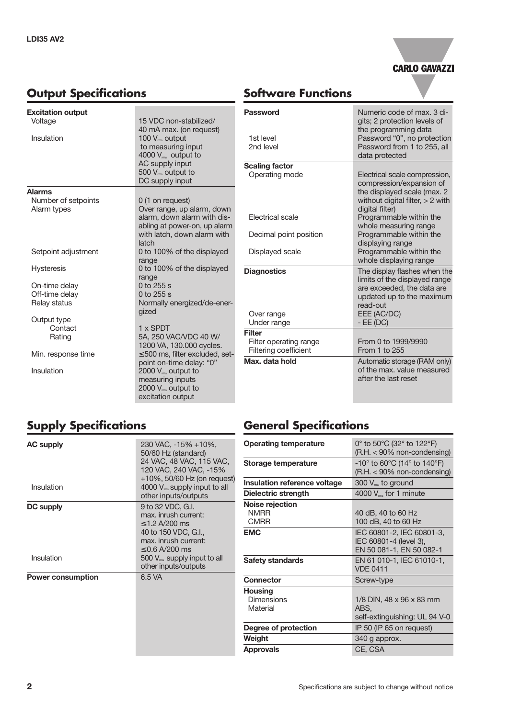



## **Software Functions**

| <b>Excitation output</b> |                                                                                                                                  | <b>Password</b>                                        |
|--------------------------|----------------------------------------------------------------------------------------------------------------------------------|--------------------------------------------------------|
| Voltage                  | 15 VDC non-stabilized/                                                                                                           |                                                        |
| Insulation               | 40 mA max. (on request)<br>100 $V_{\text{ms}}$ output<br>to measuring input<br>4000 $V_{\text{ms}}$ output to<br>AC supply input | 1st level<br>2nd level<br><b>Scaling factor</b>        |
|                          | 500 $V_{\rm ms}$ output to<br>DC supply input                                                                                    | Operating m                                            |
| <b>Alarms</b>            |                                                                                                                                  |                                                        |
| Number of setpoints      | 0 (1 on request)                                                                                                                 |                                                        |
| Alarm types              | Over range, up alarm, down<br>alarm, down alarm with dis-<br>abling at power-on, up alarm                                        | Electrical sc                                          |
|                          | with latch, down alarm with<br>latch                                                                                             | Decimal poi                                            |
| Setpoint adjustment      | 0 to 100% of the displayed                                                                                                       | Displayed s                                            |
| <b>Hysteresis</b>        | range<br>0 to 100% of the displayed<br>range                                                                                     | <b>Diagnostics</b>                                     |
| On-time delay            | $0$ to 255 s                                                                                                                     |                                                        |
| Off-time delay           | 0 to 255 s                                                                                                                       |                                                        |
| Relay status             | Normally energized/de-ener-                                                                                                      |                                                        |
| Output type              | gized                                                                                                                            | Over range                                             |
| Contact                  | 1 x SPDT                                                                                                                         | Under range                                            |
| Rating                   | 5A, 250 VAC/VDC 40 W/<br>1200 VA, 130.000 cycles.                                                                                | <b>Filter</b><br><b>Filter operat</b><br>Filtering coe |
| Min. response time       | $\leq$ 500 ms, filter excluded, set-                                                                                             | Max. data ho                                           |
| Insulation               | point on-time delay: "0"<br>2000 $V_{\text{ms}}$ output to<br>measuring inputs<br>2000 V <sub>ms</sub> output to                 |                                                        |

excitation output

| Password<br>1st level<br>2nd level                                                    | Numeric code of max, 3 di-<br>gits; 2 protection levels of<br>the programming data<br>Password "0", no protection<br>Password from 1 to 255, all<br>data protected                                                               |
|---------------------------------------------------------------------------------------|----------------------------------------------------------------------------------------------------------------------------------------------------------------------------------------------------------------------------------|
| <b>Scaling factor</b><br>Operating mode<br>Flectrical scale<br>Decimal point position | Electrical scale compression,<br>compression/expansion of<br>the displayed scale (max. 2<br>without digital filter, $> 2$ with<br>digital filter)<br>Programmable within the<br>whole measuring range<br>Programmable within the |
| Displayed scale                                                                       | displaying range<br>Programmable within the<br>whole displaying range                                                                                                                                                            |
| <b>Diagnostics</b><br>Over range<br>Under range                                       | The display flashes when the<br>limits of the displayed range<br>are exceeded, the data are<br>updated up to the maximum<br>read-out<br>EEE (AC/DC)<br>$-EE(DC)$                                                                 |
| Filter<br>Filter operating range<br>Filtering coefficient                             | From 0 to 1999/9990<br>From 1 to 255                                                                                                                                                                                             |
| Max. data hold                                                                        | Automatic storage (RAM only)<br>of the max. value measured<br>after the last reset                                                                                                                                               |

# **Supply Specifications**

| <b>AC supply</b><br>Insulation | 230 VAC, -15% +10%,<br>50/60 Hz (standard)<br>24 VAC, 48 VAC, 115 VAC,<br>120 VAC, 240 VAC, -15%<br>$+10\%$ , 50/60 Hz (on request)<br>4000 $V_{\text{ms}}$ supply input to all<br>other inputs/outputs |
|--------------------------------|---------------------------------------------------------------------------------------------------------------------------------------------------------------------------------------------------------|
| DC supply<br>Insulation        | 9 to 32 VDC, G.I.<br>max. inrush current:<br>$<$ 1.2 A/200 ms<br>40 to 150 VDC, G.I.,<br>max. inrush current:<br>$\leq$ 0.6 A/200 ms<br>500 $V_{\text{ms}}$ supply input to all<br>other inputs/outputs |
| <b>Power consumption</b>       | 6.5 VA                                                                                                                                                                                                  |

# **General Specifications**

| <b>Operating temperature</b>                  | 0° to 50°C (32° to 122°F)<br>$(R.H. < 90\%$ non-condensing)                                            |  |
|-----------------------------------------------|--------------------------------------------------------------------------------------------------------|--|
| Storage temperature                           | $-10^{\circ}$ to 60 $^{\circ}$ C (14 $^{\circ}$ to 140 $^{\circ}$ F)<br>$(R.H. < 90\%$ non-condensing) |  |
| Insulation reference voltage                  | $300 V_{\text{ms}}$ to ground                                                                          |  |
| Dielectric strength                           | 4000 V <sub>rms</sub> for 1 minute                                                                     |  |
| Noise rejection<br><b>NMRR</b><br><b>CMRR</b> | 40 dB, 40 to 60 Hz<br>100 dB, 40 to 60 Hz                                                              |  |
| <b>EMC</b>                                    | IEC 60801-2, IEC 60801-3,<br>IEC 60801-4 (level 3),<br>EN 50 081-1, EN 50 082-1                        |  |
| Safety standards                              | EN 61 010-1, IEC 61010-1,<br><b>VDE 0411</b>                                                           |  |
| <b>Connector</b>                              | Screw-type                                                                                             |  |
| Housing<br><b>Dimensions</b><br>Material      | 1/8 DIN, 48 x 96 x 83 mm<br>ABS.<br>self-extinguishing: UL 94 V-0                                      |  |
| Degree of protection                          | IP 50 (IP 65 on request)                                                                               |  |
| Weight                                        | 340 g approx.                                                                                          |  |
| Approvals                                     | CE, CSA                                                                                                |  |